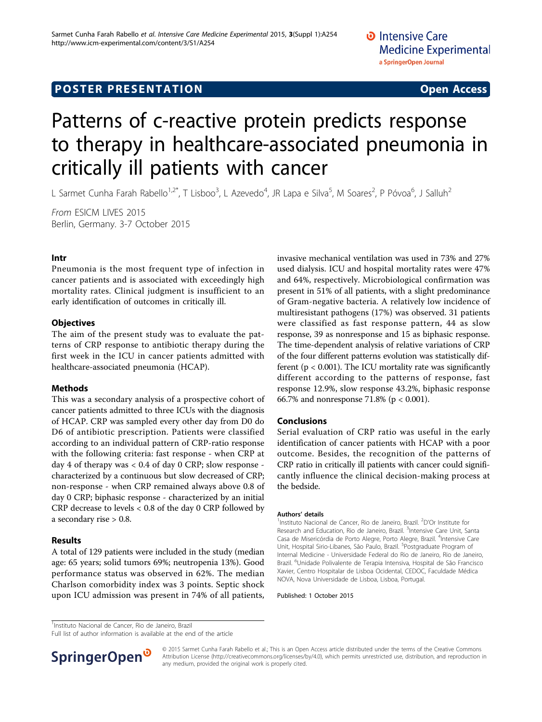## **POSTER PRESENTATION CONSUMING ACCESS**

# Patterns of c-reactive protein predicts response to therapy in healthcare-associated pneumonia in critically ill patients with cancer

L Sarmet Cunha Farah Rabello<sup>1,2\*</sup>, T Lisboo<sup>3</sup>, L Azevedo<sup>4</sup>, JR Lapa e Silva<sup>5</sup>, M Soares<sup>2</sup>, P Póvoa<sup>6</sup>, J Salluh<sup>2</sup>

From ESICM LIVES 2015 Berlin, Germany. 3-7 October 2015

#### Intr

Pneumonia is the most frequent type of infection in cancer patients and is associated with exceedingly high mortality rates. Clinical judgment is insufficient to an early identification of outcomes in critically ill.

#### **Objectives**

The aim of the present study was to evaluate the patterns of CRP response to antibiotic therapy during the first week in the ICU in cancer patients admitted with healthcare-associated pneumonia (HCAP).

#### Methods

This was a secondary analysis of a prospective cohort of cancer patients admitted to three ICUs with the diagnosis of HCAP. CRP was sampled every other day from D0 do D6 of antibiotic prescription. Patients were classified according to an individual pattern of CRP-ratio response with the following criteria: fast response - when CRP at day 4 of therapy was < 0.4 of day 0 CRP; slow response characterized by a continuous but slow decreased of CRP; non-response - when CRP remained always above 0.8 of day 0 CRP; biphasic response - characterized by an initial CRP decrease to levels < 0.8 of the day 0 CRP followed by a secondary rise > 0.8.

#### Results

A total of 129 patients were included in the study (median age: 65 years; solid tumors 69%; neutropenia 13%). Good performance status was observed in 62%. The median Charlson comorbidity index was 3 points. Septic shock upon ICU admission was present in 74% of all patients,

invasive mechanical ventilation was used in 73% and 27% used dialysis. ICU and hospital mortality rates were 47% and 64%, respectively. Microbiological confirmation was present in 51% of all patients, with a slight predominance of Gram-negative bacteria. A relatively low incidence of multiresistant pathogens (17%) was observed. 31 patients were classified as fast response pattern, 44 as slow response, 39 as nonresponse and 15 as biphasic response. The time-dependent analysis of relative variations of CRP of the four different patterns evolution was statistically different ( $p < 0.001$ ). The ICU mortality rate was significantly different according to the patterns of response, fast response 12.9%, slow response 43.2%, biphasic response 66.7% and nonresponse 71.8% (p < 0.001).

#### Conclusions

Serial evaluation of CRP ratio was useful in the early identification of cancer patients with HCAP with a poor outcome. Besides, the recognition of the patterns of CRP ratio in critically ill patients with cancer could significantly influence the clinical decision-making process at the bedside.

#### Authors' details <sup>1</sup>

Instituto Nacional de Cancer, Rio de Janeiro, Brazil. <sup>2</sup>D'Or Institute for Research and Education, Rio de Janeiro, Brazil. <sup>3</sup>Intensive Care Unit, Santa Casa de Misericórdia de Porto Alegre, Porto Alegre, Brazil. <sup>4</sup>Intensive Care Unit, Hospital Sirio-Libanes, São Paulo, Brazil. <sup>5</sup>Postgraduate Program of Internal Medicine - Universidade Federal do Rio de Janeiro, Rio de Janeiro, Brazil. <sup>6</sup>Unidade Polivalente de Terapia Intensiva, Hospital de São Francisco Xavier, Centro Hospitalar de Lisboa Ocidental, CEDOC, Faculdade Médica NOVA, Nova Universidade de Lisboa, Lisboa, Portugal.

Published: 1 October 2015

<sup>1</sup>Instituto Nacional de Cancer, Rio de Janeiro, Brazil

Full list of author information is available at the end of the article



© 2015 Sarmet Cunha Farah Rabello et al.; This is an Open Access article distributed under the terms of the Creative Commons Attribution License [\(http://creativecommons.org/licenses/by/4.0](http://creativecommons.org/licenses/by/4.0)), which permits unrestricted use, distribution, and reproduction in any medium, provided the original work is properly cited.